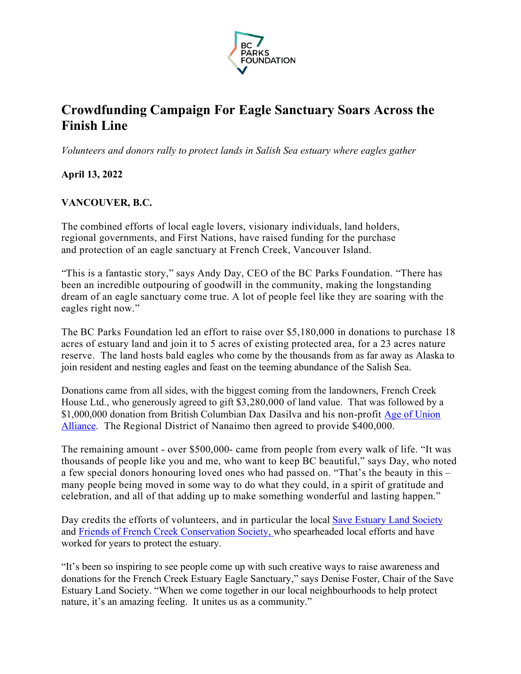

# **Crowdfunding Campaign For Eagle Sanctuary Soars Across the Finish Line**

*Volunteers and donors rally to protect lands in Salish Sea estuary where eagles gather*

**April 13, 2022**

## **VANCOUVER, B.C.**

The combined efforts of local eagle lovers, visionary individuals, land holders, regional governments, and First Nations, have raised funding for the purchase and protection of an eagle sanctuary at French Creek, Vancouver Island.

"This is a fantastic story," says Andy Day, CEO of the BC Parks Foundation. "There has been an incredible outpouring of goodwill in the community, making the longstanding dream of an eagle sanctuary come true. A lot of people feel like they are soaring with the eagles right now."

The BC Parks Foundation led an effort to raise over \$5,180,000 in donations to purchase 18 acres of estuary land and join it to 5 acres of existing protected area, for a 23 acres nature reserve. The land hosts bald eagles who come by the thousands from as far away as Alaska to join resident and nesting eagles and feast on the teeming abundance of the Salish Sea.

Donations came from all sides, with the biggest coming from the landowners, French Creek House Ltd., who generously agreed to gift \$3,280,000 of land value. That was followed by a \$1,000,000 donation from British Columbian Dax Dasilva and his non-profit Age of Union Alliance. The Regional District of Nanaimo then agreed to provide \$400,000.

The remaining amount - over \$500,000- came from people from every walk of life. "It was thousands of people like you and me, who want to keep BC beautiful," says Day, who noted a few special donors honouring loved ones who had passed on. "That's the beauty in this – many people being moved in some way to do what they could, in a spirit of gratitude and celebration, and all of that adding up to make something wonderful and lasting happen."

Day credits the efforts of volunteers, and in particular the local Save Estuary Land Society and Friends of French Creek Conservation Society, who spearheaded local efforts and have worked for years to protect the estuary.

"It's been so inspiring to see people come up with such creative ways to raise awareness and donations for the French Creek Estuary Eagle Sanctuary," says Denise Foster, Chair of the Save Estuary Land Society. "When we come together in our local neighbourhoods to help protect nature, it's an amazing feeling. It unites us as a community."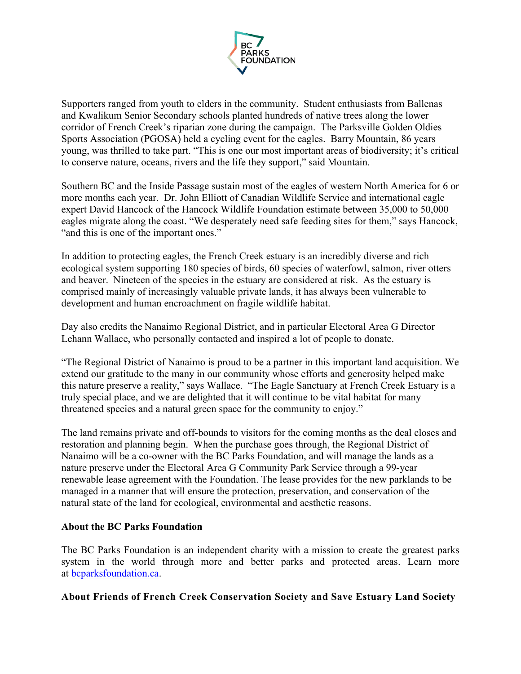

Supporters ranged from youth to elders in the community. Student enthusiasts from Ballenas and Kwalikum Senior Secondary schools planted hundreds of native trees along the lower corridor of French Creek's riparian zone during the campaign. The Parksville Golden Oldies Sports Association (PGOSA) held a cycling event for the eagles. Barry Mountain, 86 years young, was thrilled to take part. "This is one our most important areas of biodiversity; it's critical to conserve nature, oceans, rivers and the life they support," said Mountain.

Southern BC and the Inside Passage sustain most of the eagles of western North America for 6 or more months each year. Dr. John Elliott of Canadian Wildlife Service and international eagle expert David Hancock of the Hancock Wildlife Foundation estimate between 35,000 to 50,000 eagles migrate along the coast. "We desperately need safe feeding sites for them," says Hancock, "and this is one of the important ones."

In addition to protecting eagles, the French Creek estuary is an incredibly diverse and rich ecological system supporting 180 species of birds, 60 species of waterfowl, salmon, river otters and beaver. Nineteen of the species in the estuary are considered at risk. As the estuary is comprised mainly of increasingly valuable private lands, it has always been vulnerable to development and human encroachment on fragile wildlife habitat.

Day also credits the Nanaimo Regional District, and in particular Electoral Area G Director Lehann Wallace, who personally contacted and inspired a lot of people to donate.

"The Regional District of Nanaimo is proud to be a partner in this important land acquisition. We extend our gratitude to the many in our community whose efforts and generosity helped make this nature preserve a reality," says Wallace. "The Eagle Sanctuary at French Creek Estuary is a truly special place, and we are delighted that it will continue to be vital habitat for many threatened species and a natural green space for the community to enjoy."

The land remains private and off-bounds to visitors for the coming months as the deal closes and restoration and planning begin. When the purchase goes through, the Regional District of Nanaimo will be a co-owner with the BC Parks Foundation, and will manage the lands as a nature preserve under the Electoral Area G Community Park Service through a 99-year renewable lease agreement with the Foundation. The lease provides for the new parklands to be managed in a manner that will ensure the protection, preservation, and conservation of the natural state of the land for ecological, environmental and aesthetic reasons.

#### **About the BC Parks Foundation**

The BC Parks Foundation is an independent charity with a mission to create the greatest parks system in the world through more and better parks and protected areas. Learn more at bcparksfoundation.ca.

## **About Friends of French Creek Conservation Society and Save Estuary Land Society**